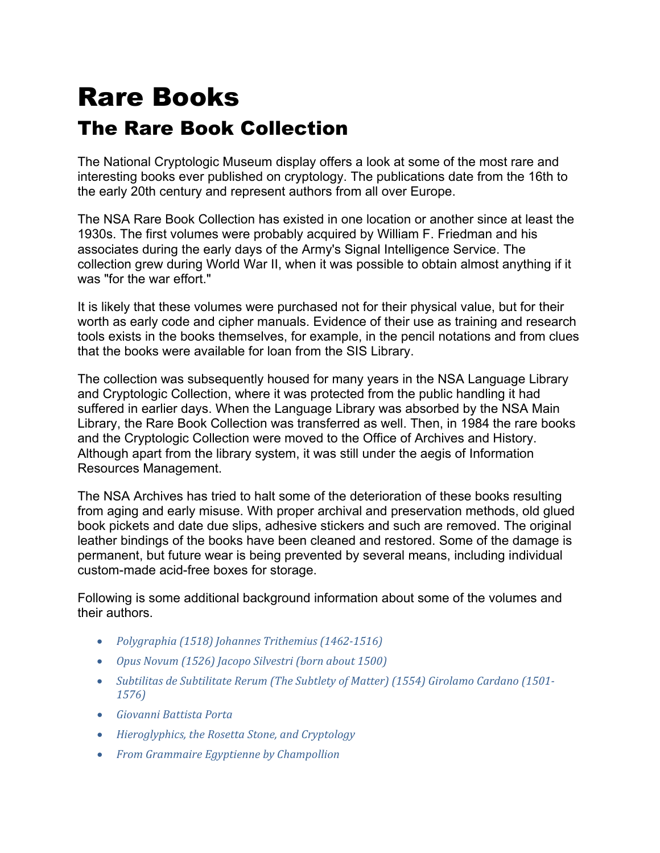# Rare Books The Rare Book Collection

The National Cryptologic Museum display offers a look at some of the most rare and interesting books ever published on cryptology. The publications date from the 16th to the early 20th century and represent authors from all over Europe.

The NSA Rare Book Collection has existed in one location or another since at least the 1930s. The first volumes were probably acquired by William F. Friedman and his associates during the early days of the Army's Signal Intelligence Service. The collection grew during World War II, when it was possible to obtain almost anything if it was "for the war effort."

It is likely that these volumes were purchased not for their physical value, but for their worth as early code and cipher manuals. Evidence of their use as training and research tools exists in the books themselves, for example, in the pencil notations and from clues that the books were available for loan from the SIS Library.

The collection was subsequently housed for many years in the NSA Language Library and Cryptologic Collection, where it was protected from the public handling it had suffered in earlier days. When the Language Library was absorbed by the NSA Main Library, the Rare Book Collection was transferred as well. Then, in 1984 the rare books and the Cryptologic Collection were moved to the Office of Archives and History. Although apart from the library system, it was still under the aegis of Information Resources Management.

The NSA Archives has tried to halt some of the deterioration of these books resulting from aging and early misuse. With proper archival and preservation methods, old glued book pickets and date due slips, adhesive stickers and such are removed. The original leather bindings of the books have been cleaned and restored. Some of the damage is permanent, but future wear is being prevented by several means, including individual custom-made acid-free boxes for storage.

Following is some additional background information about some of the volumes and their authors.

- *Polygraphia (1518) Johannes Trithemius [\(1462-1516\)](#page-1-0)*
- *Opus Novum (1526) Jacopo [Silvestri](#page-2-0) (born about 1500)*
- *Subtilitas de [Subtilitate](#page-3-0) Rerum (The Subtlety of Matter) (1554) Girolamo Cardano (1501- [1576\)](#page-3-0)*
- *[Giovanni](#page-4-0) Battista Porta*
- *[Hieroglyphics,](#page-5-0) the Rosetta Stone, and Cryptology*
- *From Grammaire Egyptienne by [Champollion](#page-6-0)*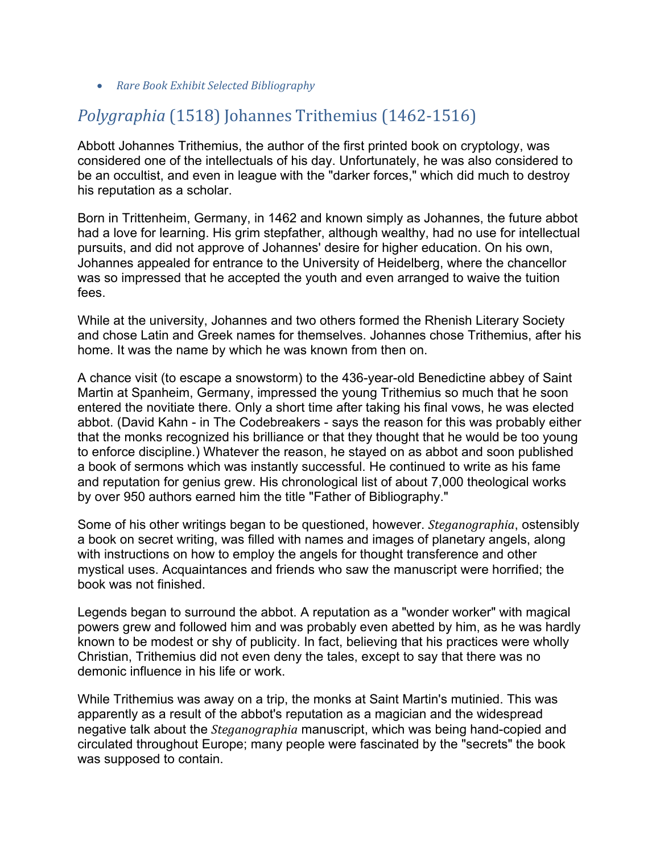• *Rare Book Exhibit Selected [Bibliography](#page-6-1)*

## <span id="page-1-0"></span>*Polygraphia* (1518) Johannes Trithemius (1462-1516)

Abbott Johannes Trithemius, the author of the first printed book on cryptology, was considered one of the intellectuals of his day. Unfortunately, he was also considered to be an occultist, and even in league with the "darker forces," which did much to destroy his reputation as a scholar.

Born in Trittenheim, Germany, in 1462 and known simply as Johannes, the future abbot had a love for learning. His grim stepfather, although wealthy, had no use for intellectual pursuits, and did not approve of Johannes' desire for higher education. On his own, Johannes appealed for entrance to the University of Heidelberg, where the chancellor was so impressed that he accepted the youth and even arranged to waive the tuition fees.

While at the university, Johannes and two others formed the Rhenish Literary Society and chose Latin and Greek names for themselves. Johannes chose Trithemius, after his home. It was the name by which he was known from then on.

A chance visit (to escape a snowstorm) to the 436-year-old Benedictine abbey of Saint Martin at Spanheim, Germany, impressed the young Trithemius so much that he soon entered the novitiate there. Only a short time after taking his final vows, he was elected abbot. (David Kahn - in The Codebreakers - says the reason for this was probably either that the monks recognized his brilliance or that they thought that he would be too young to enforce discipline.) Whatever the reason, he stayed on as abbot and soon published a book of sermons which was instantly successful. He continued to write as his fame and reputation for genius grew. His chronological list of about 7,000 theological works by over 950 authors earned him the title "Father of Bibliography."

Some of his other writings began to be questioned, however. *Steganographia*, ostensibly a book on secret writing, was filled with names and images of planetary angels, along with instructions on how to employ the angels for thought transference and other mystical uses. Acquaintances and friends who saw the manuscript were horrified; the book was not finished.

Legends began to surround the abbot. A reputation as a "wonder worker" with magical powers grew and followed him and was probably even abetted by him, as he was hardly known to be modest or shy of publicity. In fact, believing that his practices were wholly Christian, Trithemius did not even deny the tales, except to say that there was no demonic influence in his life or work.

While Trithemius was away on a trip, the monks at Saint Martin's mutinied. This was apparently as a result of the abbot's reputation as a magician and the widespread negative talk about the *Steganographia* manuscript, which was being hand-copied and circulated throughout Europe; many people were fascinated by the "secrets" the book was supposed to contain.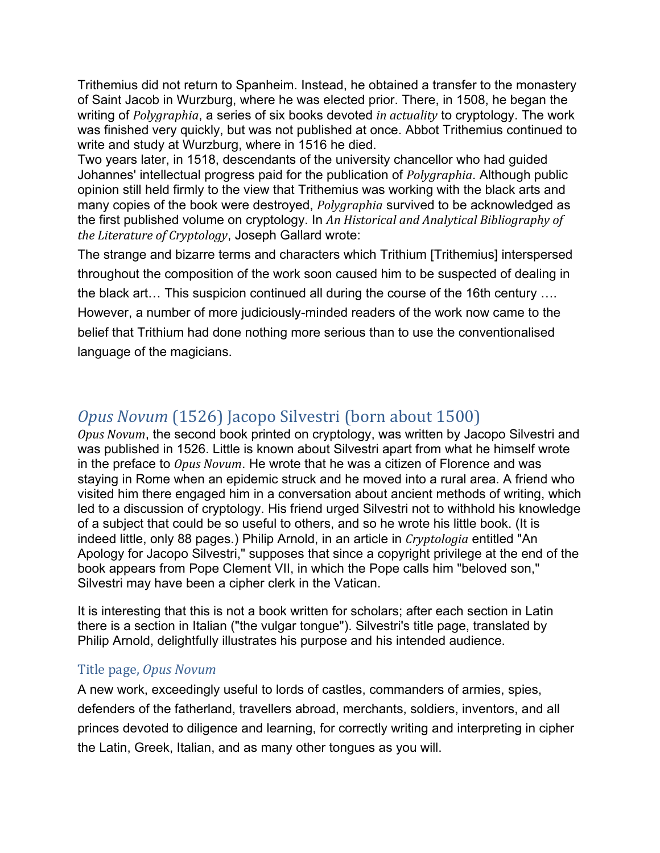Trithemius did not return to Spanheim. Instead, he obtained a transfer to the monastery of Saint Jacob in Wurzburg, where he was elected prior. There, in 1508, he began the writing of *Polygraphia*, a series of six books devoted *in actuality* to cryptology. The work was finished very quickly, but was not published at once. Abbot Trithemius continued to write and study at Wurzburg, where in 1516 he died.

Two years later, in 1518, descendants of the university chancellor who had guided Johannes' intellectual progress paid for the publication of *Polygraphia*. Although public opinion still held firmly to the view that Trithemius was working with the black arts and many copies of the book were destroyed, *Polygraphia* survived to be acknowledged as the first published volume on cryptology. In *An Historical and Analytical Bibliography of the Literature of Cryptology*, Joseph Gallard wrote:

The strange and bizarre terms and characters which Trithium [Trithemius] interspersed throughout the composition of the work soon caused him to be suspected of dealing in the black art… This suspicion continued all during the course of the 16th century …. However, a number of more judiciously-minded readers of the work now came to the belief that Trithium had done nothing more serious than to use the conventionalised language of the magicians.

## <span id="page-2-0"></span>*Opus Novum* (1526) Jacopo Silvestri (born about 1500)

*Opus Novum*, the second book printed on cryptology, was written by Jacopo Silvestri and was published in 1526. Little is known about Silvestri apart from what he himself wrote in the preface to *Opus Novum*. He wrote that he was a citizen of Florence and was staying in Rome when an epidemic struck and he moved into a rural area. A friend who visited him there engaged him in a conversation about ancient methods of writing, which led to a discussion of cryptology. His friend urged Silvestri not to withhold his knowledge of a subject that could be so useful to others, and so he wrote his little book. (It is indeed little, only 88 pages.) Philip Arnold, in an article in *Cryptologia* entitled "An Apology for Jacopo Silvestri," supposes that since a copyright privilege at the end of the book appears from Pope Clement VII, in which the Pope calls him "beloved son," Silvestri may have been a cipher clerk in the Vatican.

It is interesting that this is not a book written for scholars; after each section in Latin there is a section in Italian ("the vulgar tongue"). Silvestri's title page, translated by Philip Arnold, delightfully illustrates his purpose and his intended audience.

#### Title page, *Opus Novum*

A new work, exceedingly useful to lords of castles, commanders of armies, spies, defenders of the fatherland, travellers abroad, merchants, soldiers, inventors, and all princes devoted to diligence and learning, for correctly writing and interpreting in cipher the Latin, Greek, Italian, and as many other tongues as you will.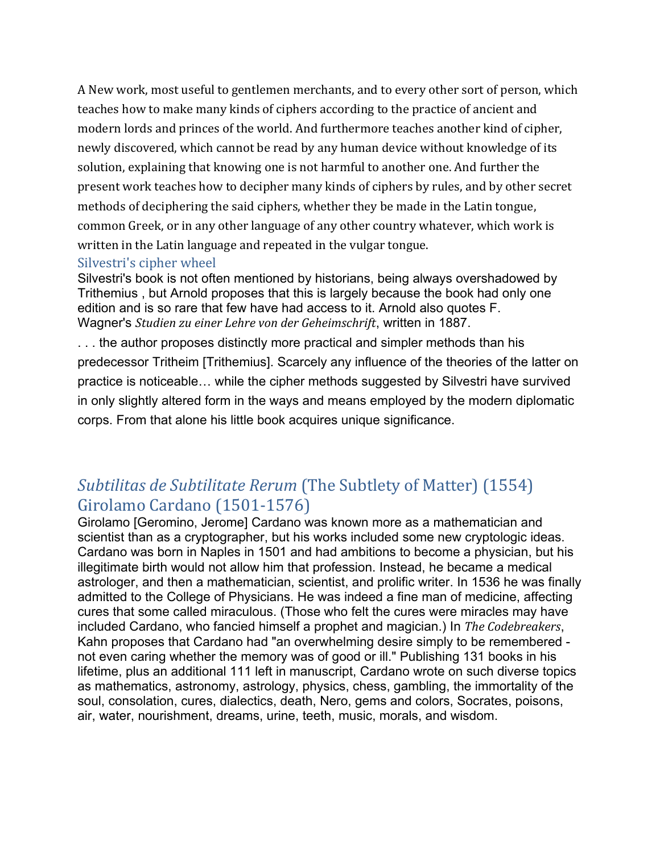A New work, most useful to gentlemen merchants, and to every other sort of person, which teaches how to make many kinds of ciphers according to the practice of ancient and modern lords and princes of the world. And furthermore teaches another kind of cipher, newly discovered, which cannot be read by any human device without knowledge of its solution, explaining that knowing one is not harmful to another one. And further the present work teaches how to decipher many kinds of ciphers by rules, and by other secret methods of deciphering the said ciphers, whether they be made in the Latin tongue, common Greek, or in any other language of any other country whatever, which work is written in the Latin language and repeated in the vulgar tongue.

#### Silvestri's cipher wheel

Silvestri's book is not often mentioned by historians, being always overshadowed by Trithemius , but Arnold proposes that this is largely because the book had only one edition and is so rare that few have had access to it. Arnold also quotes F. Wagner's *Studien zu einer Lehre von der Geheimschrift*, written in 1887.

. . . the author proposes distinctly more practical and simpler methods than his predecessor Tritheim [Trithemius]. Scarcely any influence of the theories of the latter on practice is noticeable… while the cipher methods suggested by Silvestri have survived in only slightly altered form in the ways and means employed by the modern diplomatic corps. From that alone his little book acquires unique significance.

#### <span id="page-3-0"></span>*Subtilitas de Subtilitate Rerum* (The Subtlety of Matter) (1554) Girolamo Cardano (1501-1576)

Girolamo [Geromino, Jerome] Cardano was known more as a mathematician and scientist than as a cryptographer, but his works included some new cryptologic ideas. Cardano was born in Naples in 1501 and had ambitions to become a physician, but his illegitimate birth would not allow him that profession. Instead, he became a medical astrologer, and then a mathematician, scientist, and prolific writer. In 1536 he was finally admitted to the College of Physicians. He was indeed a fine man of medicine, affecting cures that some called miraculous. (Those who felt the cures were miracles may have included Cardano, who fancied himself a prophet and magician.) In *The Codebreakers*, Kahn proposes that Cardano had "an overwhelming desire simply to be remembered not even caring whether the memory was of good or ill." Publishing 131 books in his lifetime, plus an additional 111 left in manuscript, Cardano wrote on such diverse topics as mathematics, astronomy, astrology, physics, chess, gambling, the immortality of the soul, consolation, cures, dialectics, death, Nero, gems and colors, Socrates, poisons, air, water, nourishment, dreams, urine, teeth, music, morals, and wisdom.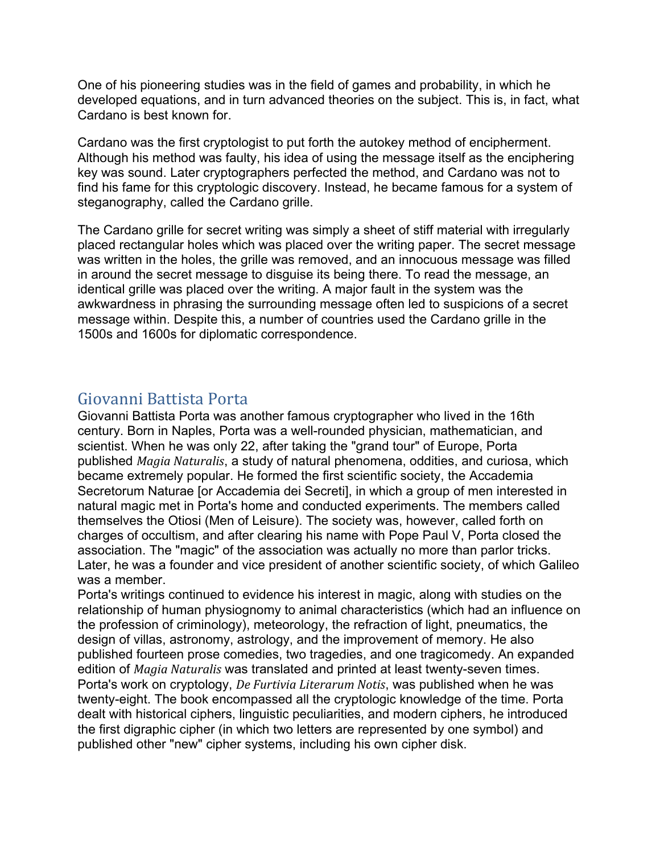One of his pioneering studies was in the field of games and probability, in which he developed equations, and in turn advanced theories on the subject. This is, in fact, what Cardano is best known for.

Cardano was the first cryptologist to put forth the autokey method of encipherment. Although his method was faulty, his idea of using the message itself as the enciphering key was sound. Later cryptographers perfected the method, and Cardano was not to find his fame for this cryptologic discovery. Instead, he became famous for a system of steganography, called the Cardano grille.

The Cardano grille for secret writing was simply a sheet of stiff material with irregularly placed rectangular holes which was placed over the writing paper. The secret message was written in the holes, the grille was removed, and an innocuous message was filled in around the secret message to disguise its being there. To read the message, an identical grille was placed over the writing. A major fault in the system was the awkwardness in phrasing the surrounding message often led to suspicions of a secret message within. Despite this, a number of countries used the Cardano grille in the 1500s and 1600s for diplomatic correspondence.

#### <span id="page-4-0"></span>Giovanni Battista Porta

Giovanni Battista Porta was another famous cryptographer who lived in the 16th century. Born in Naples, Porta was a well-rounded physician, mathematician, and scientist. When he was only 22, after taking the "grand tour" of Europe, Porta published *Magia Naturalis*, a study of natural phenomena, oddities, and curiosa, which became extremely popular. He formed the first scientific society, the Accademia Secretorum Naturae [or Accademia dei Secreti], in which a group of men interested in natural magic met in Porta's home and conducted experiments. The members called themselves the Otiosi (Men of Leisure). The society was, however, called forth on charges of occultism, and after clearing his name with Pope Paul V, Porta closed the association. The "magic" of the association was actually no more than parlor tricks. Later, he was a founder and vice president of another scientific society, of which Galileo was a member.

Porta's writings continued to evidence his interest in magic, along with studies on the relationship of human physiognomy to animal characteristics (which had an influence on the profession of criminology), meteorology, the refraction of light, pneumatics, the design of villas, astronomy, astrology, and the improvement of memory. He also published fourteen prose comedies, two tragedies, and one tragicomedy. An expanded edition of *Magia Naturalis* was translated and printed at least twenty-seven times. Porta's work on cryptology, *De Furtivia Literarum Notis*, was published when he was twenty-eight. The book encompassed all the cryptologic knowledge of the time. Porta dealt with historical ciphers, linguistic peculiarities, and modern ciphers, he introduced the first digraphic cipher (in which two letters are represented by one symbol) and published other "new" cipher systems, including his own cipher disk.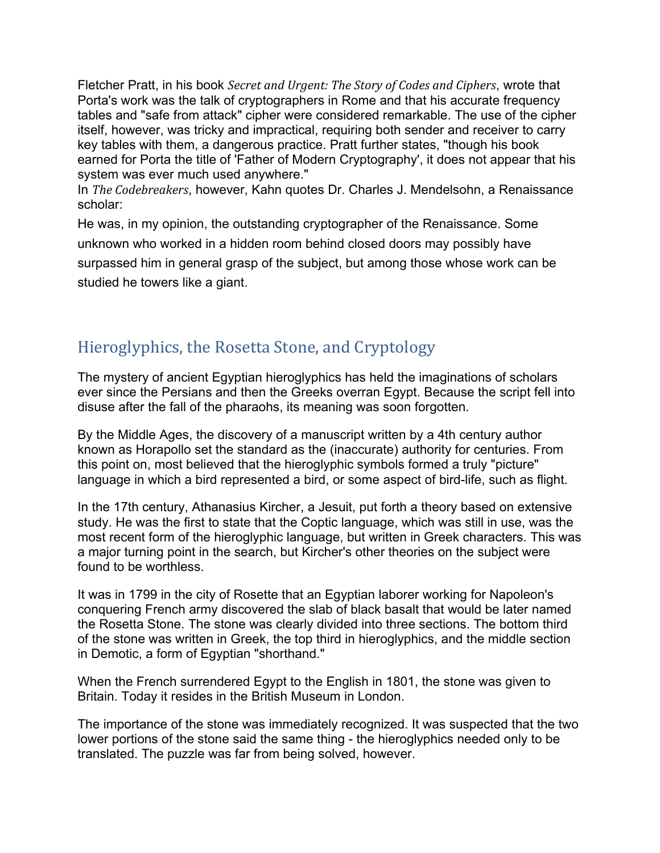Fletcher Pratt, in his book *Secret and Urgent: The Story of Codes and Ciphers*, wrote that Porta's work was the talk of cryptographers in Rome and that his accurate frequency tables and "safe from attack" cipher were considered remarkable. The use of the cipher itself, however, was tricky and impractical, requiring both sender and receiver to carry key tables with them, a dangerous practice. Pratt further states, "though his book earned for Porta the title of 'Father of Modern Cryptography', it does not appear that his system was ever much used anywhere."

In *The Codebreakers*, however, Kahn quotes Dr. Charles J. Mendelsohn, a Renaissance scholar:

He was, in my opinion, the outstanding cryptographer of the Renaissance. Some unknown who worked in a hidden room behind closed doors may possibly have surpassed him in general grasp of the subject, but among those whose work can be studied he towers like a giant.

## <span id="page-5-0"></span>Hieroglyphics, the Rosetta Stone, and Cryptology

The mystery of ancient Egyptian hieroglyphics has held the imaginations of scholars ever since the Persians and then the Greeks overran Egypt. Because the script fell into disuse after the fall of the pharaohs, its meaning was soon forgotten.

By the Middle Ages, the discovery of a manuscript written by a 4th century author known as Horapollo set the standard as the (inaccurate) authority for centuries. From this point on, most believed that the hieroglyphic symbols formed a truly "picture" language in which a bird represented a bird, or some aspect of bird-life, such as flight.

In the 17th century, Athanasius Kircher, a Jesuit, put forth a theory based on extensive study. He was the first to state that the Coptic language, which was still in use, was the most recent form of the hieroglyphic language, but written in Greek characters. This was a major turning point in the search, but Kircher's other theories on the subject were found to be worthless.

It was in 1799 in the city of Rosette that an Egyptian laborer working for Napoleon's conquering French army discovered the slab of black basalt that would be later named the Rosetta Stone. The stone was clearly divided into three sections. The bottom third of the stone was written in Greek, the top third in hieroglyphics, and the middle section in Demotic, a form of Egyptian "shorthand."

When the French surrendered Egypt to the English in 1801, the stone was given to Britain. Today it resides in the British Museum in London.

The importance of the stone was immediately recognized. It was suspected that the two lower portions of the stone said the same thing - the hieroglyphics needed only to be translated. The puzzle was far from being solved, however.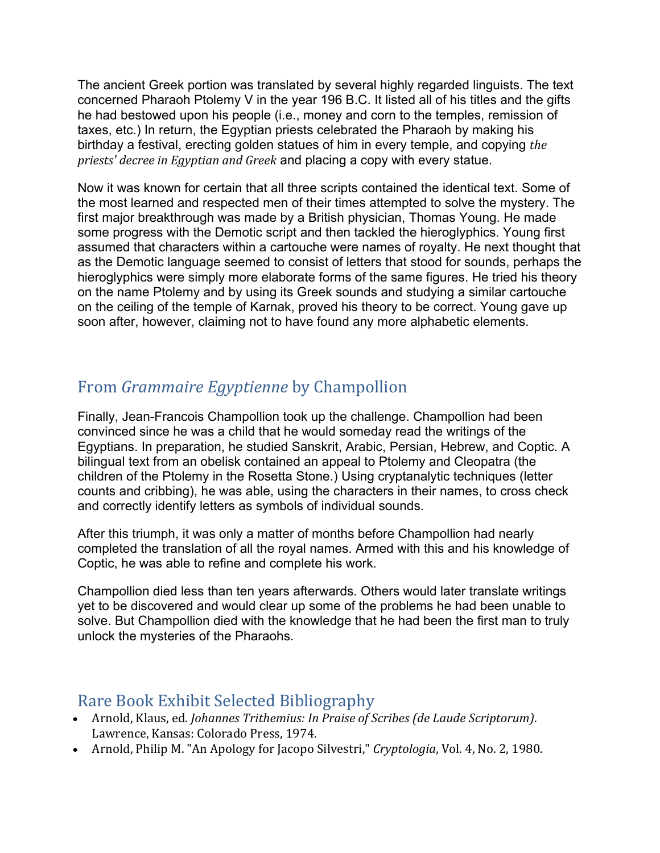The ancient Greek portion was translated by several highly regarded linguists. The text concerned Pharaoh Ptolemy V in the year 196 B.C. It listed all of his titles and the gifts he had bestowed upon his people (i.e., money and corn to the temples, remission of taxes, etc.) In return, the Egyptian priests celebrated the Pharaoh by making his birthday a festival, erecting golden statues of him in every temple, and copying *the priests' decree in Egyptian and Greek* and placing a copy with every statue.

Now it was known for certain that all three scripts contained the identical text. Some of the most learned and respected men of their times attempted to solve the mystery. The first major breakthrough was made by a British physician, Thomas Young. He made some progress with the Demotic script and then tackled the hieroglyphics. Young first assumed that characters within a cartouche were names of royalty. He next thought that as the Demotic language seemed to consist of letters that stood for sounds, perhaps the hieroglyphics were simply more elaborate forms of the same figures. He tried his theory on the name Ptolemy and by using its Greek sounds and studying a similar cartouche on the ceiling of the temple of Karnak, proved his theory to be correct. Young gave up soon after, however, claiming not to have found any more alphabetic elements.

## <span id="page-6-0"></span>From *Grammaire Egyptienne* by Champollion

Finally, Jean-Francois Champollion took up the challenge. Champollion had been convinced since he was a child that he would someday read the writings of the Egyptians. In preparation, he studied Sanskrit, Arabic, Persian, Hebrew, and Coptic. A bilingual text from an obelisk contained an appeal to Ptolemy and Cleopatra (the children of the Ptolemy in the Rosetta Stone.) Using cryptanalytic techniques (letter counts and cribbing), he was able, using the characters in their names, to cross check and correctly identify letters as symbols of individual sounds.

After this triumph, it was only a matter of months before Champollion had nearly completed the translation of all the royal names. Armed with this and his knowledge of Coptic, he was able to refine and complete his work.

Champollion died less than ten years afterwards. Others would later translate writings yet to be discovered and would clear up some of the problems he had been unable to solve. But Champollion died with the knowledge that he had been the first man to truly unlock the mysteries of the Pharaohs.

#### <span id="page-6-1"></span>Rare Book Exhibit Selected Bibliography

- Arnold, Klaus, ed. *Johannes Trithemius: In Praise of Scribes (de Laude Scriptorum)*. Lawrence, Kansas: Colorado Press, 1974.
- Arnold, Philip M. "An Apology for Jacopo Silvestri," *Cryptologia*, Vol. 4, No. 2, 1980.